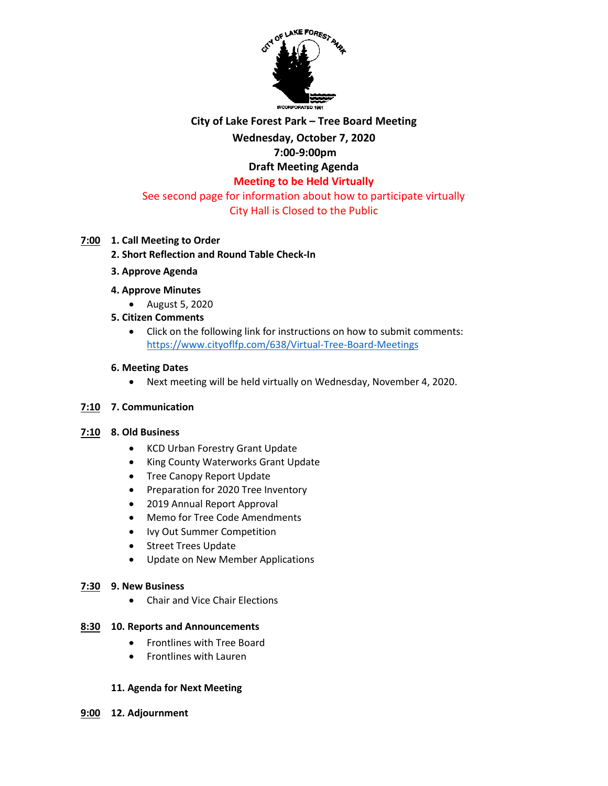

# **City of Lake Forest Park – Tree Board Meeting**

#### **Wednesday, October 7, 2020 7:00-9:00pm**

# **Draft Meeting Agenda**

# **Meeting to be Held Virtually**

# See second page for information about how to participate virtually City Hall is Closed to the Public

# **7:00 1. Call Meeting to Order**

# **2. Short Reflection and Round Table Check-In**

**3. Approve Agenda**

# **4. Approve Minutes**

August 5, 2020

# **5. Citizen Comments**

 Click on the following link for instructions on how to submit comments: <https://www.cityoflfp.com/638/Virtual-Tree-Board-Meetings>

### **6. Meeting Dates**

Next meeting will be held virtually on Wednesday, November 4, 2020.

### **7:10 7. Communication**

### **7:10 8. Old Business**

- KCD Urban Forestry Grant Update
- King County Waterworks Grant Update
- Tree Canopy Report Update
- Preparation for 2020 Tree Inventory
- 2019 Annual Report Approval
- Memo for Tree Code Amendments
- Ivy Out Summer Competition
- Street Trees Update
- Update on New Member Applications

### **7:30 9. New Business**

• Chair and Vice Chair Elections

### **8:30 10. Reports and Announcements**

- Frontlines with Tree Board
- Frontlines with Lauren

### **11. Agenda for Next Meeting**

**9:00 12. Adjournment**